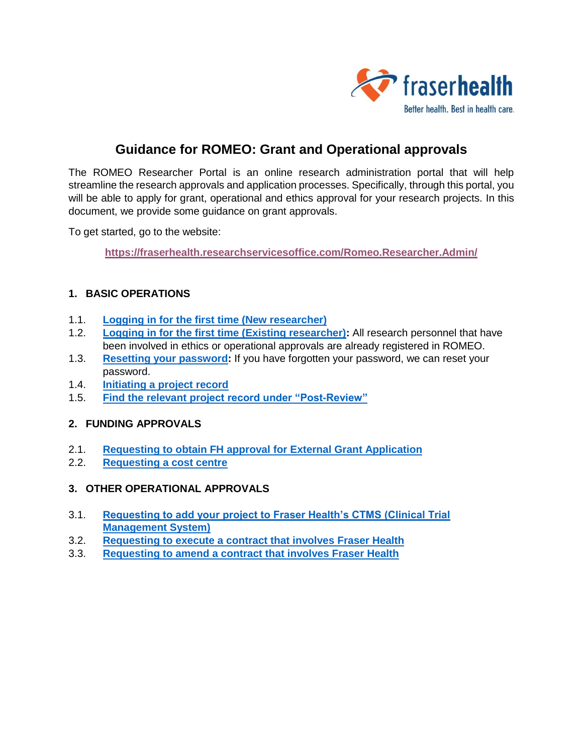

# **Guidance for ROMEO: Grant and Operational approvals**

The ROMEO Researcher Portal is an online research administration portal that will help streamline the research approvals and application processes. Specifically, through this portal, you will be able to apply for grant, operational and ethics approval for your research projects. In this document, we provide some guidance on grant approvals.

To get started, go to the website:

**<https://fraserhealth.researchservicesoffice.com/Romeo.Researcher.Admin/>**

#### **1. BASIC OPERATIONS**

- 1.1. **Logging in [for the first time \(New researcher\)](#page-1-0)**
- 1.2. **[Logging in for the first time \(Existing researcher\):](#page-2-0)** All research personnel that have been involved in ethics or operational approvals are already registered in ROMEO.
- 1.3. **[Resetting your password:](#page-3-0)** If you have forgotten your password, we can reset your password.
- 1.4. **[Initiating a project record](#page-4-0)**
- 1.5. **Find the relevant [project record under "Post-Review"](#page-8-0)**

#### **2. FUNDING APPROVALS**

- 2.1. **[Requesting to obtain FH approval for External Grant Application](#page-1-0)**
- 2.2. **[Requesting a cost centre](#page-10-0)**
- **3. OTHER OPERATIONAL APPROVALS**
- 3.1. **[Requesting to add your project to Fraser Health's CTMS \(Clinical Trial](#page-11-0)  [Management System\)](#page-11-0)**
- 3.2. **[Requesting to execute a contract that involves Fraser Health](#page-12-0)**
- 3.3. **[Requesting to amend a contract that involves Fraser Health](#page-13-0)**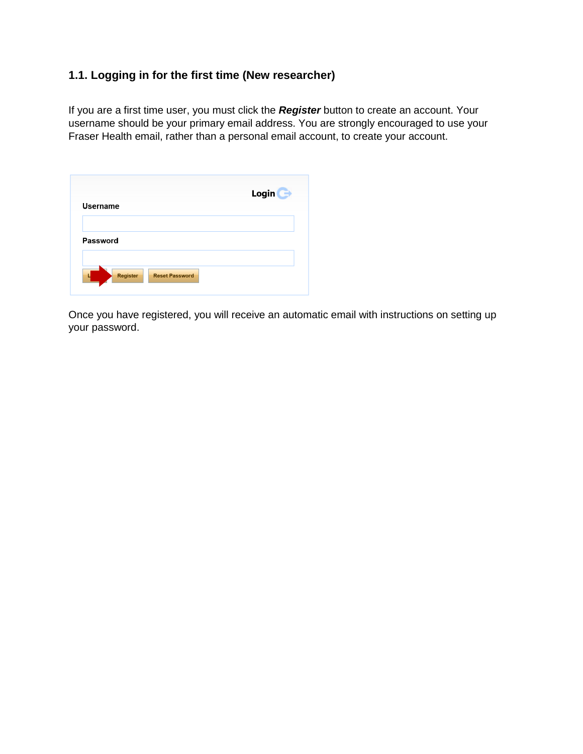## <span id="page-1-0"></span>**1.1. Logging in for the first time (New researcher)**

If you are a first time user, you must click the *Register* button to create an account. Your username should be your primary email address. You are strongly encouraged to use your Fraser Health email, rather than a personal email account, to create your account.

|                                          | Login $\bigodot$ |
|------------------------------------------|------------------|
| <b>Username</b>                          |                  |
|                                          |                  |
| Password                                 |                  |
|                                          |                  |
| <b>Register</b><br><b>Reset Password</b> |                  |

Once you have registered, you will receive an automatic email with instructions on setting up your password.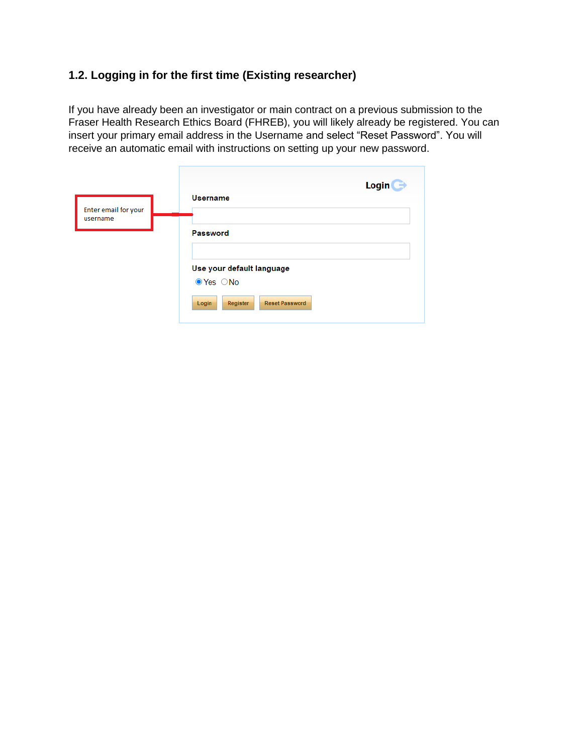## <span id="page-2-0"></span>**1.2. Logging in for the first time (Existing researcher)**

If you have already been an investigator or main contract on a previous submission to the Fraser Health Research Ethics Board (FHREB), you will likely already be registered. You can insert your primary email address in the Username and select "Reset Password". You will receive an automatic email with instructions on setting up your new password.

| Enter email for your | <b>Login</b>                                                                                                    |
|----------------------|-----------------------------------------------------------------------------------------------------------------|
| username             | <b>Username</b>                                                                                                 |
|                      | Password<br>Use your default language<br>$\bullet$ Yes $\circ$ No<br><b>Reset Password</b><br>Register<br>Login |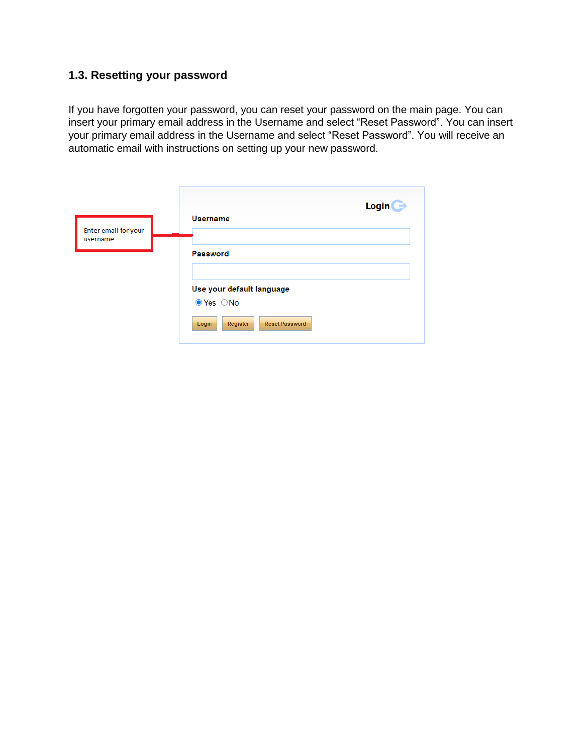## <span id="page-3-0"></span>**1.3. Resetting your password**

If you have forgotten your password, you can reset your password on the main page. You can insert your primary email address in the Username and select "Reset Password". You can insert your primary email address in the Username and select "Reset Password". You will receive an automatic email with instructions on setting up your new password.

| Enter email for your | Login                                                                                                           |
|----------------------|-----------------------------------------------------------------------------------------------------------------|
| username             | <b>Username</b>                                                                                                 |
|                      | Password<br>Use your default language<br>$\bullet$ Yes $\circ$ No<br><b>Reset Password</b><br>Register<br>Login |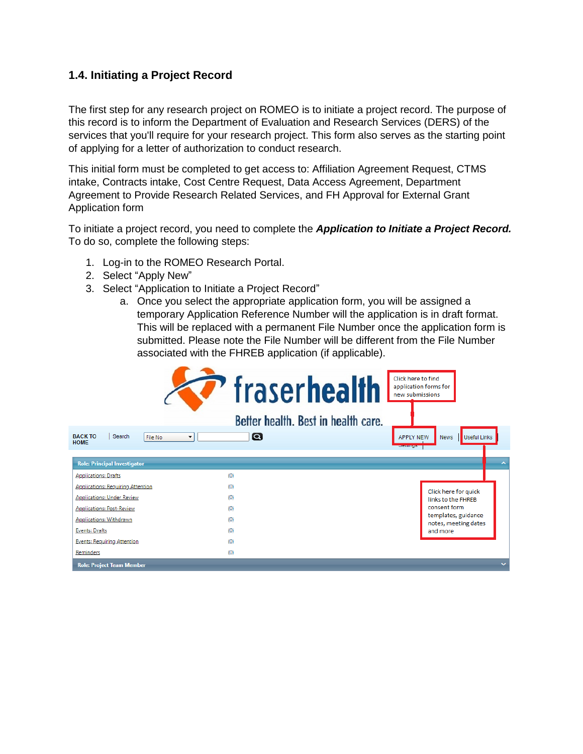#### <span id="page-4-0"></span>**1.4. Initiating a Project Record**

The first step for any research project on ROMEO is to initiate a project record. The purpose of this record is to inform the Department of Evaluation and Research Services (DERS) of the services that you'll require for your research project. This form also serves as the starting point of applying for a letter of authorization to conduct research.

This initial form must be completed to get access to: Affiliation Agreement Request, CTMS intake, Contracts intake, Cost Centre Request, Data Access Agreement, Department Agreement to Provide Research Related Services, and FH Approval for External Grant Application form

To initiate a project record, you need to complete the *Application to Initiate a Project Record.*  To do so, complete the following steps:

- 1. Log-in to the ROMEO Research Portal.
- 2. Select "Apply New"
- 3. Select "Application to Initiate a Project Record"
	- a. Once you select the appropriate application form, you will be assigned a temporary Application Reference Number will the application is in draft format. This will be replaced with a permanent File Number once the application form is submitted. Please note the File Number will be different from the File Number associated with the FHREB application (if applicable).

|                                                                            | $\overline{r}$ fraserhealth<br>Better health. Best in health care. | Click here to find<br>application forms for<br>new submissions |                                             |              |
|----------------------------------------------------------------------------|--------------------------------------------------------------------|----------------------------------------------------------------|---------------------------------------------|--------------|
| <b>BACK TO</b><br>Search<br>File No<br>$\blacktriangledown$<br><b>HOME</b> | $\alpha$                                                           | <b>APPLY NEW</b><br>свенника                                   | <b>News</b><br><b>Useful Links</b>          |              |
| <b>Role: Principal Investigator</b>                                        |                                                                    |                                                                |                                             | ㅅ            |
| <b>Applications: Drafts</b>                                                | (0)                                                                |                                                                |                                             |              |
| <b>Applications: Requiring Attention</b>                                   | (0)                                                                |                                                                | Click here for quick                        |              |
| <b>Applications: Under Review</b>                                          | (0)                                                                |                                                                | links to the FHRFB                          |              |
| <b>Applications: Post-Review</b>                                           | (0)                                                                |                                                                | consent form                                |              |
| <b>Applications: Withdrawn</b>                                             | (0)                                                                |                                                                | templates, guidance<br>notes, meeting dates |              |
| <b>Events: Drafts</b>                                                      | (0)                                                                |                                                                | and more                                    |              |
| <b>Events: Requiring Attention</b>                                         | (0)                                                                |                                                                |                                             |              |
| Reminders                                                                  | (0)                                                                |                                                                |                                             |              |
| <b>Role: Project Team Member</b>                                           |                                                                    |                                                                |                                             | $\checkmark$ |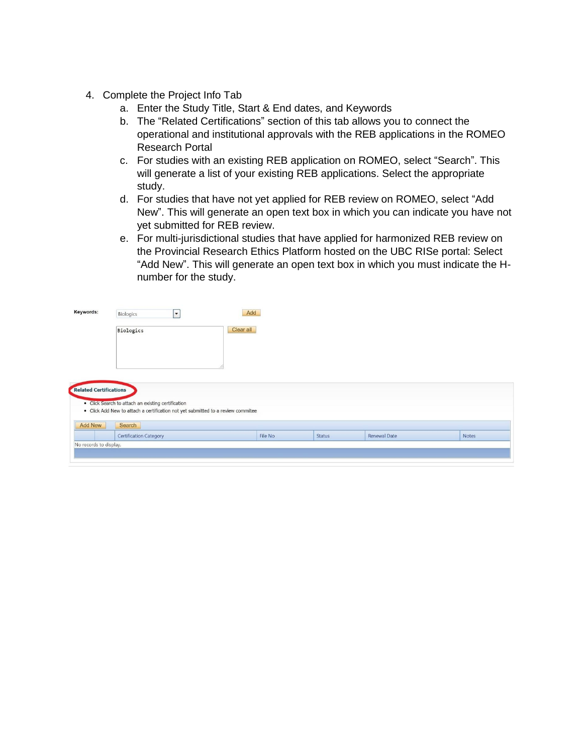- 4. Complete the Project Info Tab
	- a. Enter the Study Title, Start & End dates, and Keywords
	- b. The "Related Certifications" section of this tab allows you to connect the operational and institutional approvals with the REB applications in the ROMEO Research Portal
	- c. For studies with an existing REB application on ROMEO, select "Search". This will generate a list of your existing REB applications. Select the appropriate study.
	- d. For studies that have not yet applied for REB review on ROMEO, select "Add New". This will generate an open text box in which you can indicate you have not yet submitted for REB review.
	- e. For multi-jurisdictional studies that have applied for harmonized REB review on the Provincial Research Ethics Platform hosted on the UBC RISe portal: Select "Add New". This will generate an open text box in which you must indicate the Hnumber for the study.

| Keywords:              | $\overline{\phantom{a}}$<br>Biologics                                                                                                  | Add     |               |              |       |
|------------------------|----------------------------------------------------------------------------------------------------------------------------------------|---------|---------------|--------------|-------|
|                        | Clear all<br>Biologics                                                                                                                 |         |               |              |       |
|                        |                                                                                                                                        |         |               |              |       |
|                        |                                                                                                                                        |         |               |              |       |
|                        |                                                                                                                                        |         |               |              |       |
| Related Certifications |                                                                                                                                        |         |               |              |       |
|                        | • Click Search to attach an existing certification<br>• Click Add New to attach a certification not yet submitted to a review commitee |         |               |              |       |
|                        |                                                                                                                                        |         |               |              |       |
| <b>Add New</b>         | Search                                                                                                                                 |         |               |              |       |
|                        | <b>Certification Category</b>                                                                                                          | File No | <b>Status</b> | Renewal Date | Notes |
| No records to display. |                                                                                                                                        |         |               |              |       |
|                        |                                                                                                                                        |         |               |              |       |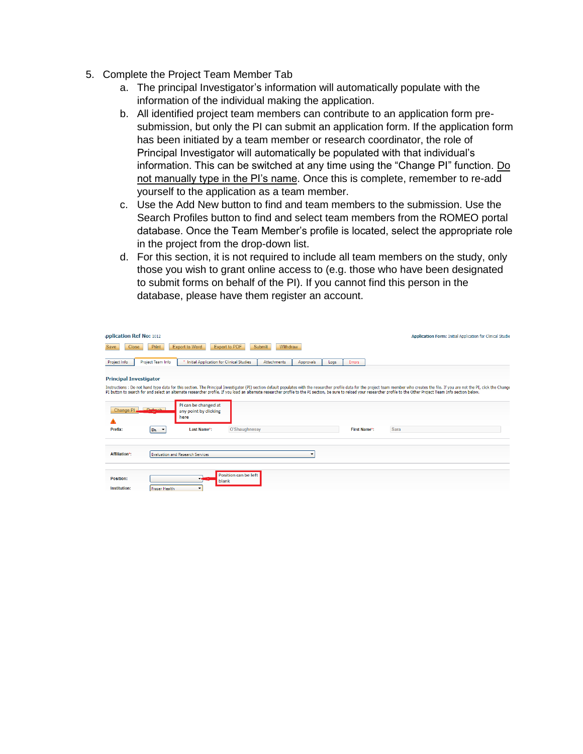- 5. Complete the Project Team Member Tab
	- a. The principal Investigator's information will automatically populate with the information of the individual making the application.
	- b. All identified project team members can contribute to an application form presubmission, but only the PI can submit an application form. If the application form has been initiated by a team member or research coordinator, the role of Principal Investigator will automatically be populated with that individual's information. This can be switched at any time using the "Change PI" function. Do not manually type in the PI's name. Once this is complete, remember to re-add yourself to the application as a team member.
	- c. Use the Add New button to find and team members to the submission. Use the Search Profiles button to find and select team members from the ROMEO portal database. Once the Team Member's profile is located, select the appropriate role in the project from the drop-down list.
	- d. For this section, it is not required to include all team members on the study, only those you wish to grant online access to (e.g. those who have been designated to submit forms on behalf of the PI). If you cannot find this person in the database, please have them register an account.

| pplication Ref No: 1012                                                         |                                                                                                                                                                                                                                                                                                                                                                                                                                                              | <b>Application Form: Initial Application for Clinical Studie</b> |
|---------------------------------------------------------------------------------|--------------------------------------------------------------------------------------------------------------------------------------------------------------------------------------------------------------------------------------------------------------------------------------------------------------------------------------------------------------------------------------------------------------------------------------------------------------|------------------------------------------------------------------|
| Print<br><b>Export to Word</b><br>Save<br><b>Close</b>                          | <b>Export to PDF</b><br>Withdraw<br><b>Submit</b>                                                                                                                                                                                                                                                                                                                                                                                                            |                                                                  |
| Project Team Info<br>Project Info                                               | Initial Application for Clinical Studies<br><b>Attachments</b><br>Approvals<br><b>Errors</b><br>Logs                                                                                                                                                                                                                                                                                                                                                         |                                                                  |
| <b>Principal Investigator</b>                                                   |                                                                                                                                                                                                                                                                                                                                                                                                                                                              |                                                                  |
|                                                                                 | Instructions : Do not hand type data for this section. The Principal Investigator (PI) section default populates with the researcher profile data for the project team member who creates the file. If you are not the PI, cli<br>PI button to search for and select an alternate researcher profile. If you load an alternate researcher profile to the PI section, be sure to reload your researcher profile to the Other Project Team Info section below. |                                                                  |
| PI can be changed at<br>Definals<br>Change Pl.<br>any point by clicking<br>here |                                                                                                                                                                                                                                                                                                                                                                                                                                                              |                                                                  |
| Prefix:<br>Last Name*:<br>Dr. T                                                 | O'Shaughnessy<br>First Name*:                                                                                                                                                                                                                                                                                                                                                                                                                                | Sara                                                             |
| Affiliation*:<br><b>Evaluation and Research Services</b>                        | ۰                                                                                                                                                                                                                                                                                                                                                                                                                                                            |                                                                  |
| Position:<br>Institution:<br><b>Fraser Health</b><br>$\overline{\phantom{a}}$   | Position can be left<br>blank                                                                                                                                                                                                                                                                                                                                                                                                                                |                                                                  |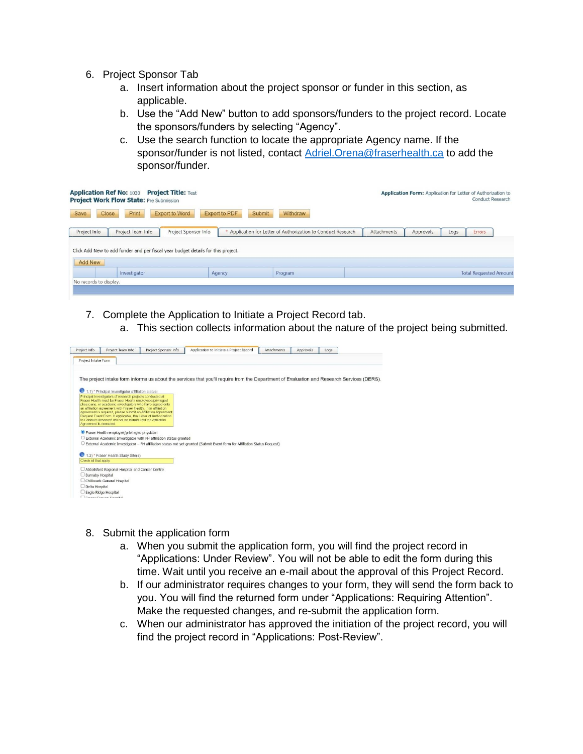- 6. Project Sponsor Tab
	- a. Insert information about the project sponsor or funder in this section, as applicable.
	- b. Use the "Add New" button to add sponsors/funders to the project record. Locate the sponsors/funders by selecting "Agency".
	- c. Use the search function to locate the appropriate Agency name. If the sponsor/funder is not listed, contact [Adriel.Orena@fraserhealth.ca](mailto:Adriel.Orena@fraserhealth.ca) to add the sponsor/funder.

|                        | <b>Application Ref No: 1030 Project Title: Test</b><br><b>Project Work Flow State: Pre Submission</b> |                       |                      |                                                             |             | Application Form: Application for Letter of Authorization to |      | <b>Conduct Research</b>       |  |
|------------------------|-------------------------------------------------------------------------------------------------------|-----------------------|----------------------|-------------------------------------------------------------|-------------|--------------------------------------------------------------|------|-------------------------------|--|
| Save                   | Print<br>Close                                                                                        | <b>Export to Word</b> | <b>Export to PDF</b> | Submit<br>Withdraw                                          |             |                                                              |      |                               |  |
| Project Info           | Project Team Info                                                                                     | Project Sponsor Info  |                      | Application for Letter of Authorization to Conduct Research | Attachments | Approvals                                                    | Logs | Errors                        |  |
|                        | Click Add New to add funder and per fiscal year budget details for this project.                      |                       |                      |                                                             |             |                                                              |      |                               |  |
| <b>Add New</b>         |                                                                                                       |                       |                      |                                                             |             |                                                              |      |                               |  |
|                        | Investigator                                                                                          |                       | Agency               | Program                                                     |             |                                                              |      | <b>Total Requested Amount</b> |  |
| No records to display. |                                                                                                       |                       |                      |                                                             |             |                                                              |      |                               |  |
|                        |                                                                                                       |                       |                      |                                                             |             |                                                              |      |                               |  |

- 7. Complete the Application to Initiate a Project Record tab.
	- a. This section collects information about the nature of the project being submitted.



- 8. Submit the application form
	- a. When you submit the application form, you will find the project record in "Applications: Under Review". You will not be able to edit the form during this time. Wait until you receive an e-mail about the approval of this Project Record.
	- b. If our administrator requires changes to your form, they will send the form back to you. You will find the returned form under "Applications: Requiring Attention". Make the requested changes, and re-submit the application form.
	- c. When our administrator has approved the initiation of the project record, you will find the project record in "Applications: Post-Review".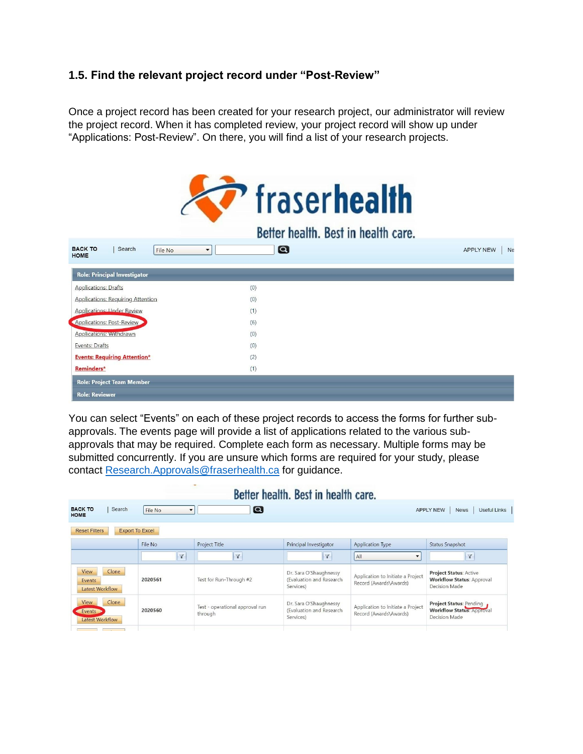#### <span id="page-8-0"></span>**1.5. Find the relevant project record under "Post-Review"**

Once a project record has been created for your research project, our administrator will review the project record. When it has completed review, your project record will show up under "Applications: Post-Review". On there, you will find a list of your research projects.



You can select "Events" on each of these project records to access the forms for further subapprovals. The events page will provide a list of applications related to the various subapprovals that may be required. Complete each form as necessary. Multiple forms may be submitted concurrently. If you are unsure which forms are required for your study, please contact [Research.Approvals@fraserhealth.ca](mailto:Research.Approvals@fraserhealth.ca) for guidance.

| Better health. Best in health care.            |                                     |                                            |                                                                 |                                                             |                                                                                    |  |  |
|------------------------------------------------|-------------------------------------|--------------------------------------------|-----------------------------------------------------------------|-------------------------------------------------------------|------------------------------------------------------------------------------------|--|--|
| <b>BACK TO</b><br>Search<br><b>HOME</b>        | File No<br>$\overline{\phantom{0}}$ | $\boldsymbol{\alpha}$                      |                                                                 |                                                             | Useful Links<br><b>APPLY NEW</b><br><b>News</b>                                    |  |  |
| <b>Export To Excel</b><br><b>Reset Filters</b> |                                     |                                            |                                                                 |                                                             |                                                                                    |  |  |
|                                                | File No                             | Project Title                              | Principal Investigator                                          | <b>Application Type</b>                                     | <b>Status Snapshot</b>                                                             |  |  |
|                                                | $\mathbf{Y}$                        | $\mathbf{v}$                               | Y                                                               | AII                                                         | Y                                                                                  |  |  |
| Clone<br>View<br>Events<br>Latest Workflow     | 2020561                             | Test for Run-Through #2                    | Dr. Sara O'Shaughnessy<br>(Evaluation and Research<br>Services) | Application to Initiate a Project<br>Record (Awards\Awards) | <b>Project Status: Active</b><br><b>Workflow Status: Approval</b><br>Decision Made |  |  |
| Clone<br>View<br>Events<br>Latest Workflow     | 2020560                             | Test - operational approval run<br>through | Dr. Sara O'Shaughnessy<br>(Evaluation and Research<br>Services) | Application to Initiate a Project<br>Record (Awards\Awards) | Project Status: Pending<br><b>Workflow Status: Approval</b><br>Decision Made       |  |  |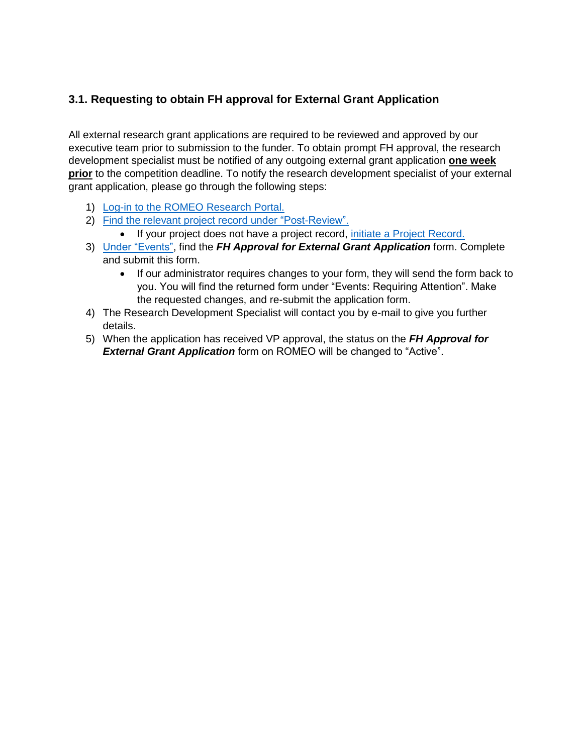## **3.1. Requesting to obtain FH approval for External Grant Application**

All external research grant applications are required to be reviewed and approved by our executive team prior to submission to the funder. To obtain prompt FH approval, the research development specialist must be notified of any outgoing external grant application **one week prior** to the competition deadline. To notify the research development specialist of your external grant application, please go through the following steps:

- 1) [Log-in to the ROMEO Research Portal.](#page-2-0)
- 2) Find the relevant [project record under "Post-Review".](#page-8-0)
	- If your project does not have a project record, [initiate a Project Record.](#page-4-0)
- 3) [Under "Events",](#page-8-0) find the *FH Approval for External Grant Application* form. Complete and submit this form.
	- If our administrator requires changes to your form, they will send the form back to you. You will find the returned form under "Events: Requiring Attention". Make the requested changes, and re-submit the application form.
- 4) The Research Development Specialist will contact you by e-mail to give you further details.
- 5) When the application has received VP approval, the status on the *FH Approval for*  **External Grant Application** form on ROMEO will be changed to "Active".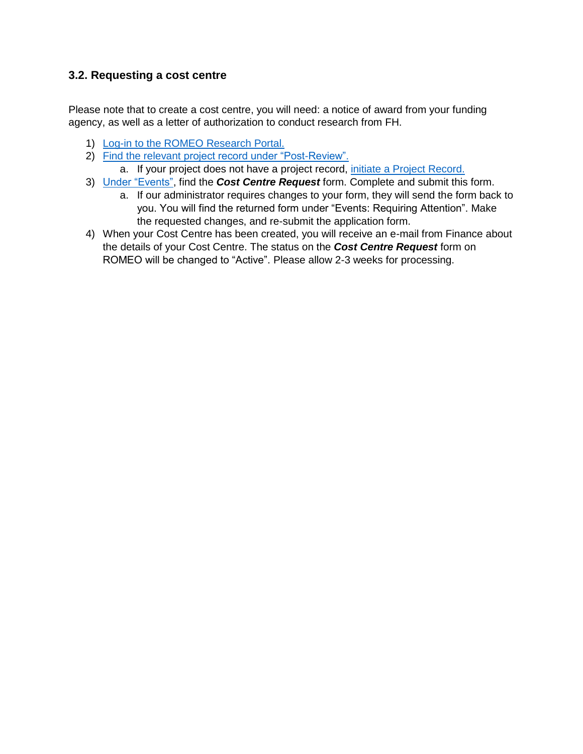### <span id="page-10-0"></span>**3.2. Requesting a cost centre**

Please note that to create a cost centre, you will need: a notice of award from your funding agency, as well as a letter of authorization to conduct research from FH.

- 1) [Log-in to the ROMEO Research Portal.](#page-2-0)
- 2) Find the relevant [project record under "Post-Review".](#page-8-0) a. If your project does not have a project record, [initiate a Project Record.](#page-4-0)
- 3) [Under "Events",](#page-8-0) find the *Cost Centre Request* form. Complete and submit this form.
	- a. If our administrator requires changes to your form, they will send the form back to you. You will find the returned form under "Events: Requiring Attention". Make the requested changes, and re-submit the application form.
- 4) When your Cost Centre has been created, you will receive an e-mail from Finance about the details of your Cost Centre. The status on the *Cost Centre Request* form on ROMEO will be changed to "Active". Please allow 2-3 weeks for processing.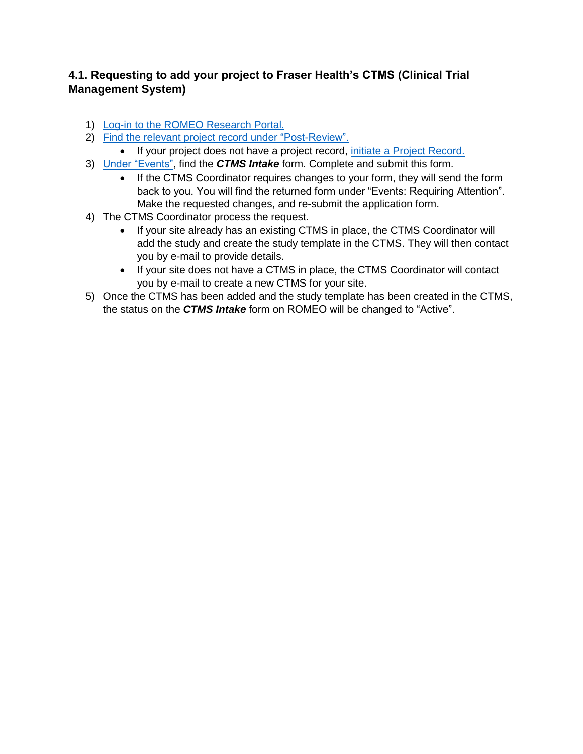## <span id="page-11-0"></span>**4.1. Requesting to add your project to Fraser Health's CTMS (Clinical Trial Management System)**

- 1) [Log-in to the ROMEO Research Portal.](#page-2-0)
- 2) Find the relevant [project record under "Post-Review".](#page-8-0)
	- If your project does not have a project record, [initiate a Project Record.](#page-4-0)
- 3) [Under "Events",](#page-8-0) find the *CTMS Intake* form. Complete and submit this form.
	- If the CTMS Coordinator requires changes to your form, they will send the form back to you. You will find the returned form under "Events: Requiring Attention". Make the requested changes, and re-submit the application form.
- 4) The CTMS Coordinator process the request.
	- If your site already has an existing CTMS in place, the CTMS Coordinator will add the study and create the study template in the CTMS. They will then contact you by e-mail to provide details.
	- If your site does not have a CTMS in place, the CTMS Coordinator will contact you by e-mail to create a new CTMS for your site.
- 5) Once the CTMS has been added and the study template has been created in the CTMS, the status on the *CTMS Intake* form on ROMEO will be changed to "Active".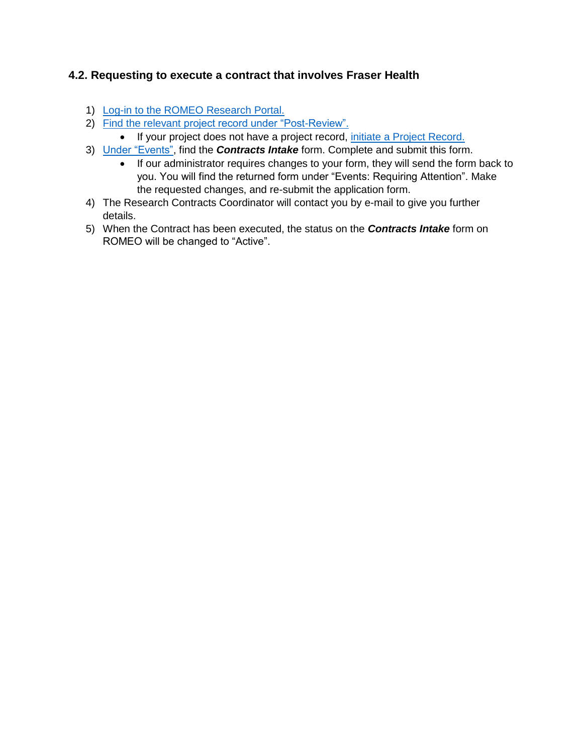## <span id="page-12-0"></span>**4.2. Requesting to execute a contract that involves Fraser Health**

- 1) [Log-in to the ROMEO Research Portal.](#page-2-0)
- 2) Find the relevant [project record under "Post-Review".](#page-8-0)
	- If your project does not have a project record, [initiate a Project Record.](#page-4-0)
- 3) [Under "Events",](#page-8-0) find the *Contracts Intake* form. Complete and submit this form.
	- If our administrator requires changes to your form, they will send the form back to you. You will find the returned form under "Events: Requiring Attention". Make the requested changes, and re-submit the application form.
- 4) The Research Contracts Coordinator will contact you by e-mail to give you further details.
- 5) When the Contract has been executed, the status on the *Contracts Intake* form on ROMEO will be changed to "Active".